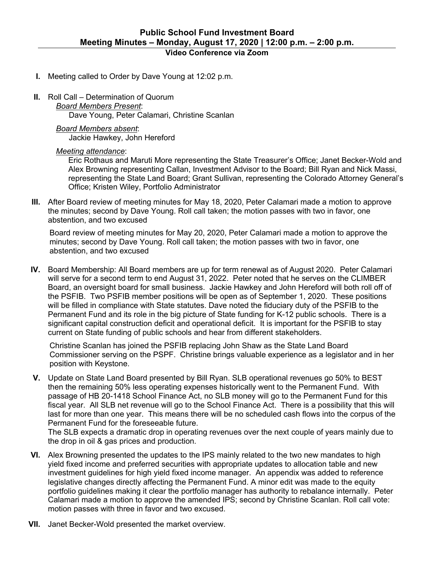## **Video Conference via Zoom**

- **I.** Meeting called to Order by Dave Young at 12:02 p.m.
- **II.** Roll Call Determination of Quorum
	- *Board Members Present*: Dave Young, Peter Calamari, Christine Scanlan
	- *Board Members absent*: Jackie Hawkey, John Hereford

## *Meeting attendance*:

Eric Rothaus and Maruti More representing the State Treasurer's Office; Janet Becker-Wold and Alex Browning representing Callan, Investment Advisor to the Board; Bill Ryan and Nick Massi, representing the State Land Board; Grant Sullivan, representing the Colorado Attorney General's Office; Kristen Wiley, Portfolio Administrator

**III.** After Board review of meeting minutes for May 18, 2020, Peter Calamari made a motion to approve the minutes; second by Dave Young. Roll call taken; the motion passes with two in favor, one abstention, and two excused

Board review of meeting minutes for May 20, 2020, Peter Calamari made a motion to approve the minutes; second by Dave Young. Roll call taken; the motion passes with two in favor, one abstention, and two excused

**IV.** Board Membership: All Board members are up for term renewal as of August 2020. Peter Calamari will serve for a second term to end August 31, 2022. Peter noted that he serves on the CLIMBER Board, an oversight board for small business. Jackie Hawkey and John Hereford will both roll off of the PSFIB. Two PSFIB member positions will be open as of September 1, 2020. These positions will be filled in compliance with State statutes. Dave noted the fiduciary duty of the PSFIB to the Permanent Fund and its role in the big picture of State funding for K-12 public schools. There is a significant capital construction deficit and operational deficit. It is important for the PSFIB to stay current on State funding of public schools and hear from different stakeholders.

Christine Scanlan has joined the PSFIB replacing John Shaw as the State Land Board Commissioner serving on the PSPF. Christine brings valuable experience as a legislator and in her position with Keystone.

**V.** Update on State Land Board presented by Bill Ryan. SLB operational revenues go 50% to BEST then the remaining 50% less operating expenses historically went to the Permanent Fund. With passage of HB 20-1418 School Finance Act, no SLB money will go to the Permanent Fund for this fiscal year. All SLB net revenue will go to the School Finance Act. There is a possibility that this will last for more than one year. This means there will be no scheduled cash flows into the corpus of the Permanent Fund for the foreseeable future.

The SLB expects a dramatic drop in operating revenues over the next couple of years mainly due to the drop in oil & gas prices and production.

- **VI.** Alex Browning presented the updates to the IPS mainly related to the two new mandates to high yield fixed income and preferred securities with appropriate updates to allocation table and new investment guidelines for high yield fixed income manager. An appendix was added to reference legislative changes directly affecting the Permanent Fund. A minor edit was made to the equity portfolio guidelines making it clear the portfolio manager has authority to rebalance internally. Peter Calamari made a motion to approve the amended IPS; second by Christine Scanlan. Roll call vote: motion passes with three in favor and two excused.
- **VII.** Janet Becker-Wold presented the market overview.